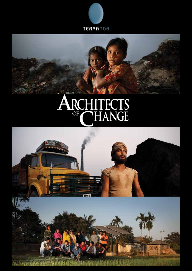



# A HITECTS RC<sub>OF</sub> CH